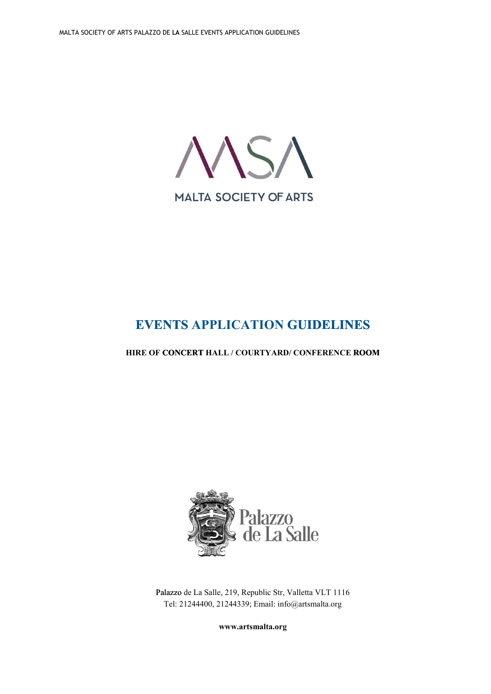

# **EVENTS APPLICATION GUIDELINES**

# **HIRE OF CONCERT HALL / COURTYARD/ CONFERENCE ROOM ROOM**



Palazzo de La Salle, 219, Republic Str, Valletta VLT 1116 Tel: 21244400, 21244339; Email: [info@artsmalta.org](mailto:info@artsmalta.org)

**[www.artsmalta.org](http://www.artsmalta.org/)**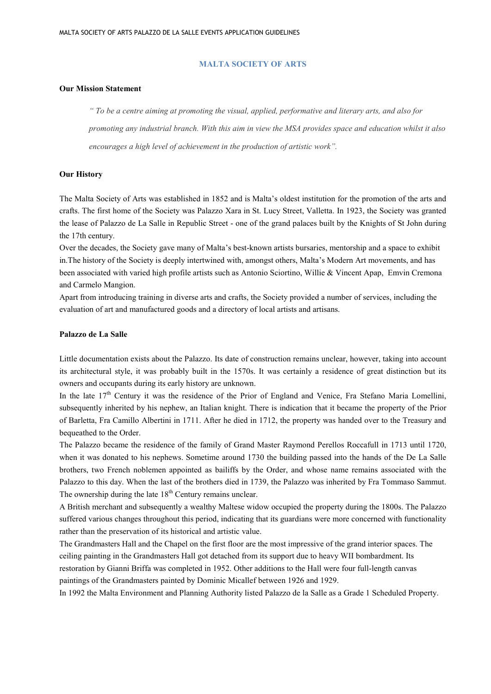#### **MALTA SOCIETY OF ARTS**

#### **Our Mission Statement**

" To be a centre aiming at promoting the visual, applied, performative and literary arts, and also for promoting any industrial branch. With this aim in view the MSA provides space and education whilst it also *encourages a high level of achievement in the production of artistic work".*

#### **Our History**

The Malta Society of Arts was established in 1852 and is Malta's oldest institution for the promotion of the arts and crafts. The first home of the Society was Palazzo Xara in St. Lucy Street, Valletta. In 1923, the Society was granted the lease of Palazzo de La Salle in Republic Street - one of the grand palaces built by the Knights of St John during the 17th century.

Over the decades, the Society gave many of Malta's best-known artists bursaries, mentorship and a space to exhibit in.The history of the Society is deeply intertwined with, amongst others, Malta's Modern Art movements, and has been associated with varied high profile artists such as Antonio Sciortino, Willie & Vincent Apap, Emvin Cremona and Carmelo Mangion.

Apart from introducing training in diverse arts and crafts, the Society provided a number of services, including the evaluation of art and manufactured goods and a directory of local artists and artisans.

#### **Palazzo de La Salle**

Little documentation exists about the Palazzo. Its date of construction remains unclear, however, taking into account its architectural style, it was probably built in the 1570s. It was certainly a residence of great distinction but its owners and occupants during its early history are unknown.

In the late 17<sup>th</sup> Century it was the residence of the Prior of England and Venice, Fra Stefano Maria Lomellini, subsequently inherited by his nephew, an Italian knight. There is indication that it became the property of the Prior of Barletta, Fra Camillo Albertini in 1711. After he died in 1712, the property was handed over to the Treasury and bequeathed to the Order.

The Palazzo became the residence of the family of Grand Master Raymond Perellos Roccafull in 1713 until 1720, when it was donated to his nephews. Sometime around 1730 the building passed into the hands of the De La Salle brothers, two French noblemen appointed as bailiffs by the Order, and whose name remains associated with the Palazzo to this day. When the last of the brothers died in 1739, the Palazzo was inherited by Fra Tommaso Sammut. The ownership during the late  $18<sup>th</sup>$  Century remains unclear.

A British merchant and subsequently a wealthy Maltese widow occupied the property during the 1800s. The Palazzo suffered various changes throughout this period, indicating that its guardians were more concerned with functionality rather than the preservation of its historical and artistic value.

The Grandmasters Hall and the Chapel on the first floor are the most impressive of the grand interior spaces. The ceiling painting in the Grandmasters Hall got detached from its support due to heavy WII bombardment. Its restoration by Gianni Briffa was completed in 1952. Other additions to the Hall were four full-length canvas paintings of the Grandmasters painted by Dominic Micallef between 1926 and 1929.

In 1992 the Malta Environment and Planning Authority listed Palazzo de la Salle as a Grade 1 Scheduled Property.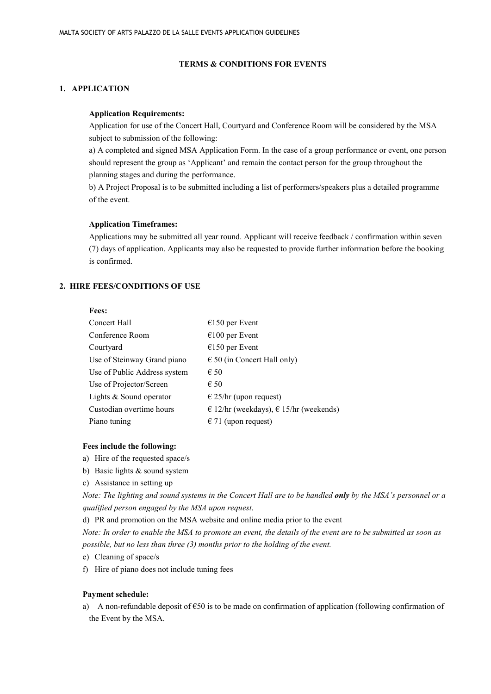#### **TERMS & CONDITIONS FOR EVENTS**

# **1. APPLICATION**

#### **Application Requirements:**

Application for use of the Concert Hall, Courtyard and Conference Room will be considered by the MSA subject to submission of the following:

a) A completed and signed MSA Application Form. In the case of a group performance or event, one person should represent the group as 'Applicant' and remain the contact person for the group throughout the planning stages and during the performance.

b) A Project Proposal is to be submitted including a list of performers/speakers plus a detailed programme of the event.

#### **Application Timeframes:**

Applications may be submitted all year round. Applicant will receive feedback / confirmation within seven (7) days of application. Applicants may also be requested to provide further information before the booking is confirmed.

# **2. HIRE FEES/CONDITIONS OF USE**

#### **Fees:**

| Concert Hall                 | $€150$ per Event                         |
|------------------------------|------------------------------------------|
| Conference Room              | $€100$ per Event                         |
| Courtyard                    | $€150$ per Event                         |
| Use of Steinway Grand piano  | $\epsilon$ 50 (in Concert Hall only)     |
| Use of Public Address system | $\epsilon$ 50                            |
| Use of Projector/Screen      | $\epsilon$ 50                            |
| Lights & Sound operator      | $\epsilon$ 25/hr (upon request)          |
| Custodian overtime hours     | € 12/hr (weekdays), $€$ 15/hr (weekends) |
| Piano tuning                 | $\epsilon$ 71 (upon request)             |

#### **Fees include the following:**

- a) Hire of the requested space/s
- b) Basic lights & sound system
- c) Assistance in setting up

Note: The lighting and sound systems in the Concert Hall are to be handled only by the MSA's personnel or a *qualified person engaged by the MSA upon request*.

d) PR and promotion on the MSA website and online media prior to the event

Note: In order to enable the MSA to promote an event, the details of the event are to be submitted as soon as *possible, but no less than three (3) months prior to the holding of the event.*

e) Cleaning of space/s

f) Hire of piano does not include tuning fees

#### **Payment schedule:**

a) A non-refundable deposit of  $\epsilon$ 50 is to be made on confirmation of application (following confirmation of the Event by the MSA.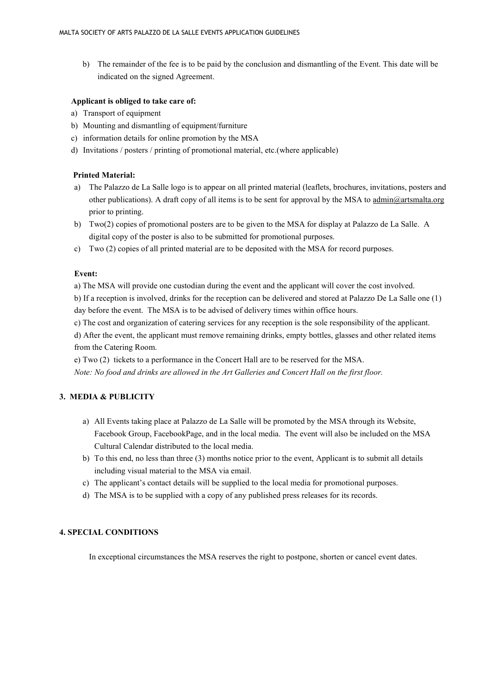b) The remainder of the fee is to be paid by the conclusion and dismantling of the Event. This date will be indicated on the signed Agreement.

### **Applicant is obliged to take care of:**

- a) Transport of equipment
- b) Mounting and dismantling of equipment/furniture
- c) information details for online promotion by the MSA
- d) Invitations / posters / printing of promotional material, etc.(where applicable)

## **Printed Material:**

- a) The Palazzo de La Salle logo is to appear on all printed material (leaflets, brochures, invitations, posters and other publications). A draft copy of all items is to be sent for approval by the MSA to [admin@artsmalta.org](mailto:admin@artsmalta.org) prior to printing.
- b) Two(2) copies of promotional posters are to be given to the MSA for display at Palazzo de La Salle. A digital copy of the poster is also to be submitted for promotional purposes.
- c) Two (2) copies of all printed material are to be deposited with the MSA for record purposes.

## **Event:**

a) The MSA will provide one custodian during the event and the applicant will cover the cost involved.

b) If a reception is involved, drinks for the reception can be delivered and stored at Palazzo De La Salle one (1) day before the event. The MSA is to be advised of delivery times within office hours.

c) The cost and organization of catering services for any reception is the sole responsibility of the applicant.

d) After the event, the applicant must remove remaining drinks, empty bottles, glasses and other related items from the Catering Room.

e) Two (2) tickets to a performance in the Concert Hall are to be reserved for the MSA. *Note: No food and drinks are allowed in the Art Galleries and Concert Hall on the first floor.*

# **3. MEDIA & PUBLICITY**

- a) All Events taking place at Palazzo de La Salle will be promoted by the MSA through its Website, Facebook Group, FacebookPage, and in the local media. The event will also be included on the MSA Cultural Calendar distributed to the local media.
- b) To this end, no less than three (3) months notice prior to the event, Applicant is to submit all details including visual material to the MSA via email.
- c) The applicant's contact details will be supplied to the local media for promotional purposes.
- d) The MSA is to be supplied with a copy of any published press releases for its records.

#### **4. SPECIAL CONDITIONS**

In exceptional circumstances the MSA reserves the right to postpone, shorten or cancel event dates.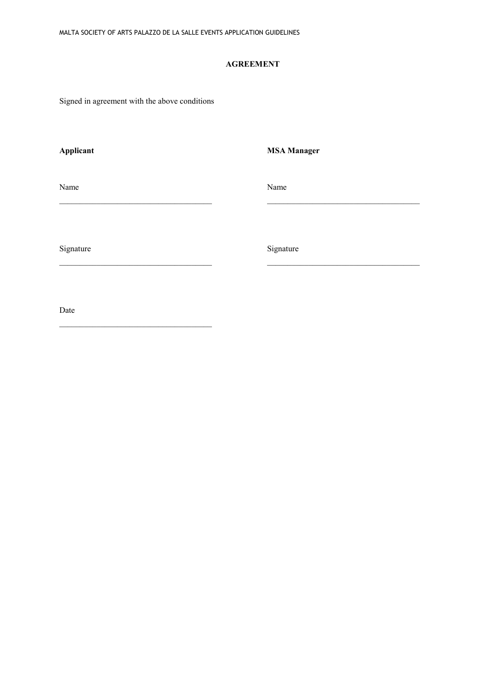# **AGREEMENT**

\_\_\_\_\_\_\_\_\_\_\_\_\_\_\_\_\_\_\_\_\_\_\_\_\_\_\_\_\_\_\_\_\_\_\_\_\_ \_\_\_\_\_\_\_\_\_\_\_\_\_\_\_\_\_\_\_\_\_\_\_\_\_\_\_\_\_\_\_\_\_\_\_\_\_

\_\_\_\_\_\_\_\_\_\_\_\_\_\_\_\_\_\_\_\_\_\_\_\_\_\_\_\_\_\_\_\_\_\_\_\_\_ \_\_\_\_\_\_\_\_\_\_\_\_\_\_\_\_\_\_\_\_\_\_\_\_\_\_\_\_\_\_\_\_\_\_\_\_\_

Signed in agreement with the above conditions

 $\mathcal{L}_\mathcal{L}$  , and the set of the set of the set of the set of the set of the set of the set of the set of the set of the set of the set of the set of the set of the set of the set of the set of the set of the set of th

**Applicant MSA Manager**

Name Name Name

Signature Signature Signature Signature Signature Signature Signature Signature Signature Signature Signature Signature Signature Signature Signature Signature Signature Signature Signature Signature Signature Signature Si

Date